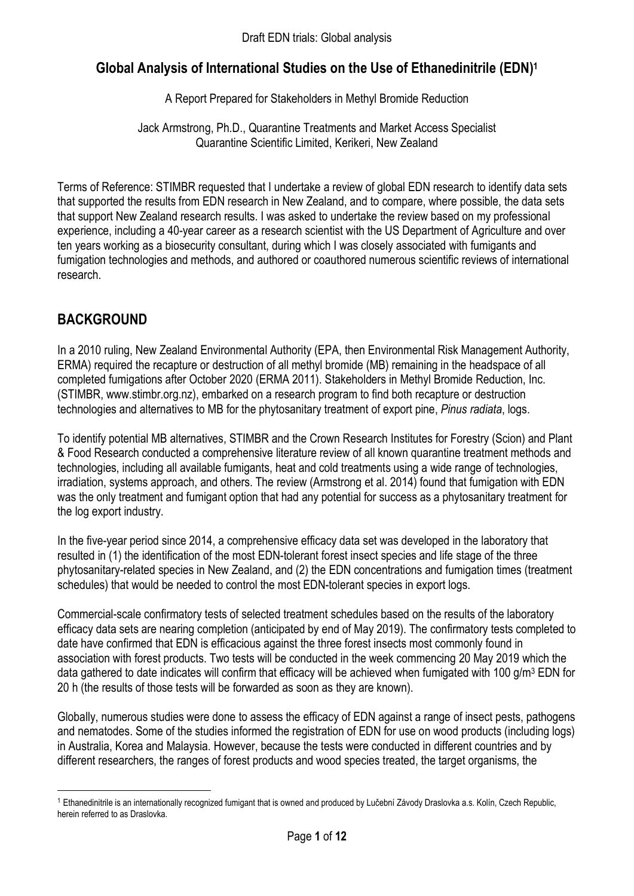# Global Analysis of International Studies on the Use of Ethanedinitrile (EDN)<sup>1</sup>

A Report Prepared for Stakeholders in Methyl Bromide Reduction

Jack Armstrong, Ph.D., Quarantine Treatments and Market Access Specialist Quarantine Scientific Limited, Kerikeri, New Zealand

Terms of Reference: STIMBR requested that I undertake a review of global EDN research to identify data sets that supported the results from EDN research in New Zealand, and to compare, where possible, the data sets that support New Zealand research results. I was asked to undertake the review based on my professional experience, including a 40-year career as a research scientist with the US Department of Agriculture and over ten years working as a biosecurity consultant, during which I was closely associated with fumigants and fumigation technologies and methods, and authored or coauthored numerous scientific reviews of international research.

## BACKGROUND

-

In a 2010 ruling, New Zealand Environmental Authority (EPA, then Environmental Risk Management Authority, ERMA) required the recapture or destruction of all methyl bromide (MB) remaining in the headspace of all completed fumigations after October 2020 (ERMA 2011). Stakeholders in Methyl Bromide Reduction, Inc. (STIMBR, www.stimbr.org.nz), embarked on a research program to find both recapture or destruction technologies and alternatives to MB for the phytosanitary treatment of export pine, Pinus radiata, logs.

To identify potential MB alternatives, STIMBR and the Crown Research Institutes for Forestry (Scion) and Plant & Food Research conducted a comprehensive literature review of all known quarantine treatment methods and technologies, including all available fumigants, heat and cold treatments using a wide range of technologies, irradiation, systems approach, and others. The review (Armstrong et al. 2014) found that fumigation with EDN was the only treatment and fumigant option that had any potential for success as a phytosanitary treatment for the log export industry.

In the five-year period since 2014, a comprehensive efficacy data set was developed in the laboratory that resulted in (1) the identification of the most EDN-tolerant forest insect species and life stage of the three phytosanitary-related species in New Zealand, and (2) the EDN concentrations and fumigation times (treatment schedules) that would be needed to control the most EDN-tolerant species in export logs.

Commercial-scale confirmatory tests of selected treatment schedules based on the results of the laboratory efficacy data sets are nearing completion (anticipated by end of May 2019). The confirmatory tests completed to date have confirmed that EDN is efficacious against the three forest insects most commonly found in association with forest products. Two tests will be conducted in the week commencing 20 May 2019 which the data gathered to date indicates will confirm that efficacy will be achieved when fumigated with 100 g/m<sup>3</sup> EDN for 20 h (the results of those tests will be forwarded as soon as they are known).

Globally, numerous studies were done to assess the efficacy of EDN against a range of insect pests, pathogens and nematodes. Some of the studies informed the registration of EDN for use on wood products (including logs) in Australia, Korea and Malaysia. However, because the tests were conducted in different countries and by different researchers, the ranges of forest products and wood species treated, the target organisms, the

<sup>1</sup> Ethanedinitrile is an internationally recognized fumigant that is owned and produced by Lučební Závody Draslovka a.s. Kolín, Czech Republic, herein referred to as Draslovka.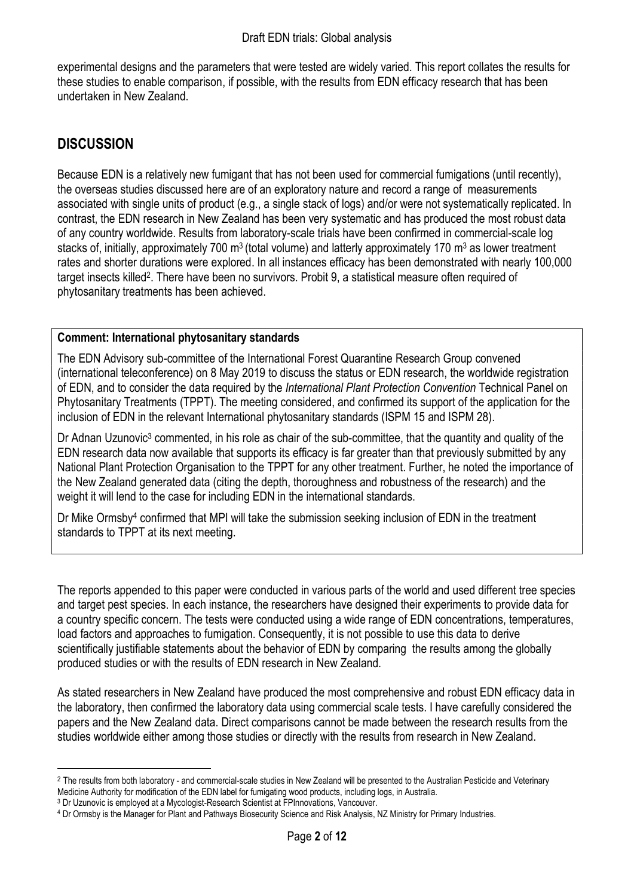experimental designs and the parameters that were tested are widely varied. This report collates the results for these studies to enable comparison, if possible, with the results from EDN efficacy research that has been undertaken in New Zealand.

## **DISCUSSION**

-

Because EDN is a relatively new fumigant that has not been used for commercial fumigations (until recently), the overseas studies discussed here are of an exploratory nature and record a range of measurements associated with single units of product (e.g., a single stack of logs) and/or were not systematically replicated. In contrast, the EDN research in New Zealand has been very systematic and has produced the most robust data of any country worldwide. Results from laboratory-scale trials have been confirmed in commercial-scale log stacks of, initially, approximately 700 m<sup>3</sup> (total volume) and latterly approximately 170 m<sup>3</sup> as lower treatment rates and shorter durations were explored. In all instances efficacy has been demonstrated with nearly 100,000 target insects killed<sup>2</sup>. There have been no survivors. Probit 9, a statistical measure often required of phytosanitary treatments has been achieved.

#### Comment: International phytosanitary standards

The EDN Advisory sub-committee of the International Forest Quarantine Research Group convened (international teleconference) on 8 May 2019 to discuss the status or EDN research, the worldwide registration of EDN, and to consider the data required by the International Plant Protection Convention Technical Panel on Phytosanitary Treatments (TPPT). The meeting considered, and confirmed its support of the application for the inclusion of EDN in the relevant International phytosanitary standards (ISPM 15 and ISPM 28).

Dr Adnan Uzunovic<sup>3</sup> commented, in his role as chair of the sub-committee, that the quantity and quality of the EDN research data now available that supports its efficacy is far greater than that previously submitted by any National Plant Protection Organisation to the TPPT for any other treatment. Further, he noted the importance of the New Zealand generated data (citing the depth, thoroughness and robustness of the research) and the weight it will lend to the case for including EDN in the international standards.

Dr Mike Ormsby<sup>4</sup> confirmed that MPI will take the submission seeking inclusion of EDN in the treatment standards to TPPT at its next meeting.

The reports appended to this paper were conducted in various parts of the world and used different tree species and target pest species. In each instance, the researchers have designed their experiments to provide data for a country specific concern. The tests were conducted using a wide range of EDN concentrations, temperatures, load factors and approaches to fumigation. Consequently, it is not possible to use this data to derive scientifically justifiable statements about the behavior of EDN by comparing the results among the globally produced studies or with the results of EDN research in New Zealand.

As stated researchers in New Zealand have produced the most comprehensive and robust EDN efficacy data in the laboratory, then confirmed the laboratory data using commercial scale tests. I have carefully considered the papers and the New Zealand data. Direct comparisons cannot be made between the research results from the studies worldwide either among those studies or directly with the results from research in New Zealand.

<sup>&</sup>lt;sup>2</sup> The results from both laboratory - and commercial-scale studies in New Zealand will be presented to the Australian Pesticide and Veterinary Medicine Authority for modification of the EDN label for fumigating wood products, including logs, in Australia.

<sup>3</sup> Dr Uzunovic is employed at a Mycologist-Research Scientist at FPInnovations, Vancouver.

<sup>4</sup> Dr Ormsby is the Manager for Plant and Pathways Biosecurity Science and Risk Analysis, NZ Ministry for Primary Industries.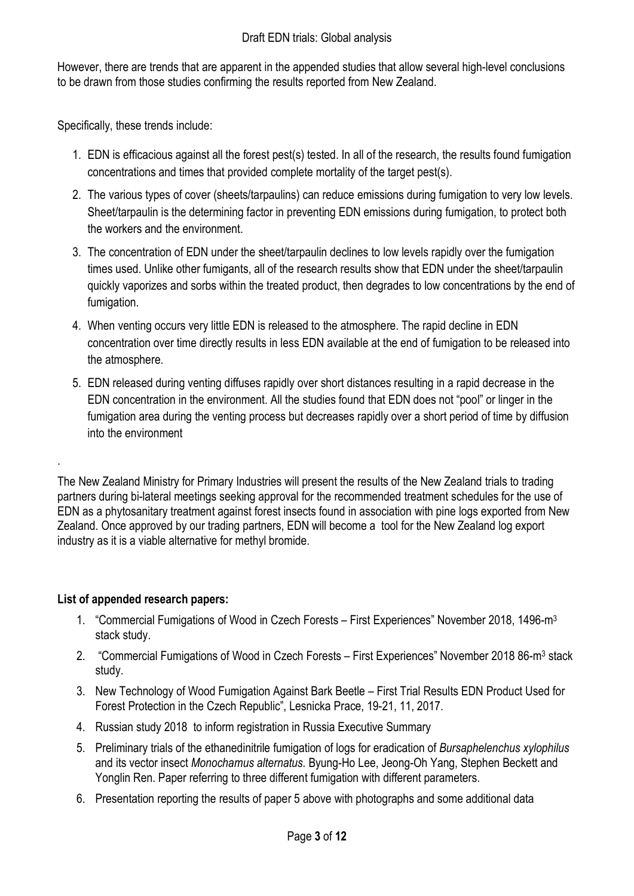However, there are trends that are apparent in the appended studies that allow several high-level conclusions to be drawn from those studies confirming the results reported from New Zealand.

Specifically, these trends include:

- 1. EDN is efficacious against all the forest pest(s) tested. In all of the research, the results found fumigation concentrations and times that provided complete mortality of the target pest(s).
- 2. The various types of cover (sheets/tarpaulins) can reduce emissions during fumigation to very low levels. Sheet/tarpaulin is the determining factor in preventing EDN emissions during fumigation, to protect both the workers and the environment.
- 3. The concentration of EDN under the sheet/tarpaulin declines to low levels rapidly over the fumigation times used. Unlike other fumigants, all of the research results show that EDN under the sheet/tarpaulin quickly vaporizes and sorbs within the treated product, then degrades to low concentrations by the end of fumigation.
- 4. When venting occurs very little EDN is released to the atmosphere. The rapid decline in EDN concentration over time directly results in less EDN available at the end of fumigation to be released into the atmosphere.
- 5. EDN released during venting diffuses rapidly over short distances resulting in a rapid decrease in the EDN concentration in the environment. All the studies found that EDN does not "pool" or linger in the fumigation area during the venting process but decreases rapidly over a short period of time by diffusion into the environment

The New Zealand Ministry for Primary Industries will present the results of the New Zealand trials to trading partners during bi-lateral meetings seeking approval for the recommended treatment schedules for the use of EDN as a phytosanitary treatment against forest insects found in association with pine logs exported from New Zealand. Once approved by our trading partners, EDN will become a tool for the New Zealand log export industry as it is a viable alternative for methyl bromide.

## List of appended research papers:

.

- 1. "Commercial Fumigations of Wood in Czech Forests First Experiences" November 2018, 1496-m<sup>3</sup> stack study.
- 2. "Commercial Fumigations of Wood in Czech Forests First Experiences" November 2018 86-m<sup>3</sup> stack study.
- 3. New Technology of Wood Fumigation Against Bark Beetle First Trial Results EDN Product Used for Forest Protection in the Czech Republic", Lesnicka Prace, 19-21, 11, 2017.
- 4. Russian study 2018 to inform registration in Russia Executive Summary
- 5. Preliminary trials of the ethanedinitrile fumigation of logs for eradication of Bursaphelenchus xylophilus and its vector insect Monochamus alternatus. Byung-Ho Lee, Jeong-Oh Yang, Stephen Beckett and Yonglin Ren. Paper referring to three different fumigation with different parameters.
- 6. Presentation reporting the results of paper 5 above with photographs and some additional data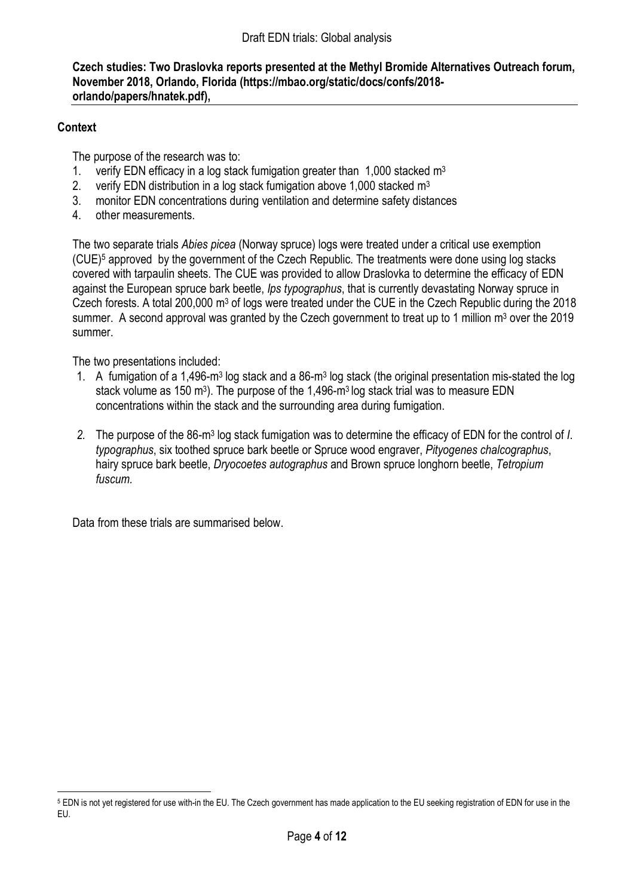### Czech studies: Two Draslovka reports presented at the Methyl Bromide Alternatives Outreach forum, November 2018, Orlando, Florida (https://mbao.org/static/docs/confs/2018 orlando/papers/hnatek.pdf),

### **Context**

The purpose of the research was to:

- 1. verify EDN efficacy in a log stack fumigation greater than  $1,000$  stacked m<sup>3</sup>
- 2. verify EDN distribution in a log stack fumigation above 1,000 stacked  $m<sup>3</sup>$
- 3. monitor EDN concentrations during ventilation and determine safety distances
- 4. other measurements.

The two separate trials Abies picea (Norway spruce) logs were treated under a critical use exemption (CUE)<sup>5</sup> approved by the government of the Czech Republic. The treatments were done using log stacks covered with tarpaulin sheets. The CUE was provided to allow Draslovka to determine the efficacy of EDN against the European spruce bark beetle, Ips typographus, that is currently devastating Norway spruce in Czech forests. A total 200,000 m<sup>3</sup> of logs were treated under the CUE in the Czech Republic during the 2018 summer. A second approval was granted by the Czech government to treat up to 1 million  $m<sup>3</sup>$  over the 2019 summer.

The two presentations included:

- 1. A fumigation of a 1,496-m<sup>3</sup> log stack and a 86-m<sup>3</sup> log stack (the original presentation mis-stated the log stack volume as 150 m<sup>3</sup>). The purpose of the 1,496-m<sup>3</sup> log stack trial was to measure EDN concentrations within the stack and the surrounding area during fumigation.
- 2. The purpose of the 86-m<sup>3</sup> log stack fumigation was to determine the efficacy of EDN for the control of I. typographus, six toothed spruce bark beetle or Spruce wood engraver, Pityogenes chalcographus, hairy spruce bark beetle, Dryocoetes autographus and Brown spruce longhorn beetle, Tetropium fuscum.

Data from these trials are summarised below.

<sup>-</sup>5 EDN is not yet registered for use with-in the EU. The Czech government has made application to the EU seeking registration of EDN for use in the EU.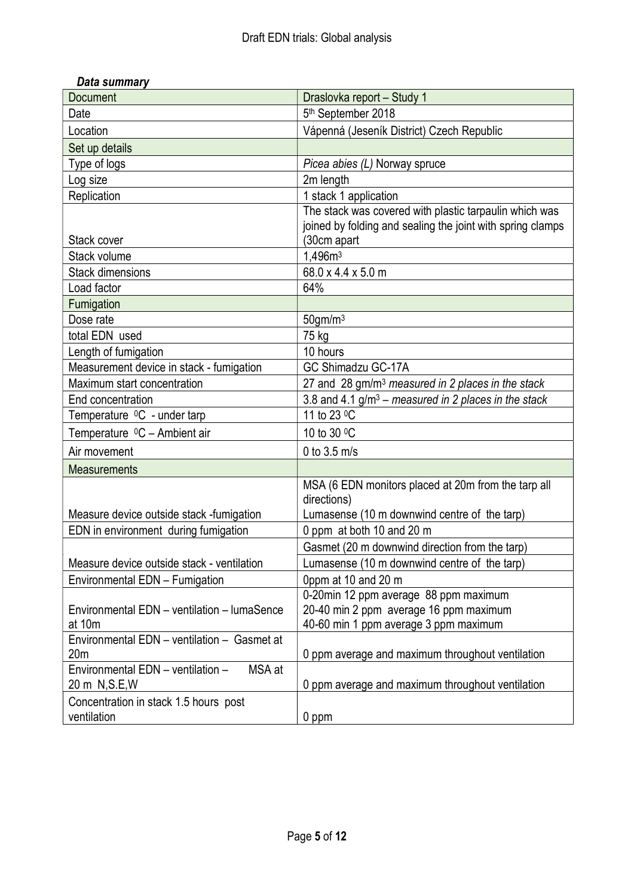| Document                                    | Draslovka report - Study 1                                    |
|---------------------------------------------|---------------------------------------------------------------|
| Date                                        | 5 <sup>th</sup> September 2018                                |
| Location                                    | Vápenná (Jeseník District) Czech Republic                     |
| Set up details                              |                                                               |
| Type of logs                                | Picea abies (L) Norway spruce                                 |
| Log size                                    | 2m length                                                     |
| Replication                                 | 1 stack 1 application                                         |
|                                             | The stack was covered with plastic tarpaulin which was        |
|                                             | joined by folding and sealing the joint with spring clamps    |
| Stack cover                                 | (30cm apart                                                   |
| Stack volume                                | 1,496m <sup>3</sup>                                           |
| <b>Stack dimensions</b>                     | 68.0 x 4.4 x 5.0 m                                            |
| Load factor                                 | 64%                                                           |
| Fumigation                                  |                                                               |
| Dose rate                                   | $50$ gm/m $3$                                                 |
| total EDN used                              | 75 kg                                                         |
| Length of fumigation                        | 10 hours                                                      |
| Measurement device in stack - fumigation    | GC Shimadzu GC-17A                                            |
| Maximum start concentration                 | 27 and 28 gm/m <sup>3</sup> measured in 2 places in the stack |
| End concentration                           | 3.8 and 4.1 $g/m^3$ – measured in 2 places in the stack       |
| Temperature <sup>0</sup> C - under tarp     | 11 to 23 °C                                                   |
| Temperature <sup>0</sup> C - Ambient air    | 10 to 30 °C                                                   |
| Air movement                                | 0 to $3.5$ m/s                                                |
| <b>Measurements</b>                         |                                                               |
|                                             | MSA (6 EDN monitors placed at 20m from the tarp all           |
|                                             | directions)                                                   |
| Measure device outside stack -fumigation    | Lumasense (10 m downwind centre of the tarp)                  |
| EDN in environment during fumigation        | 0 ppm at both 10 and 20 m                                     |
|                                             | Gasmet (20 m downwind direction from the tarp)                |
| Measure device outside stack - ventilation  | Lumasense (10 m downwind centre of the tarp)                  |
| Environmental EDN - Fumigation              | 0ppm at 10 and 20 m                                           |
|                                             | 0-20min 12 ppm average 88 ppm maximum                         |
| Environmental EDN - ventilation - lumaSence | 20-40 min 2 ppm average 16 ppm maximum                        |
| at 10m                                      | 40-60 min 1 ppm average 3 ppm maximum                         |
| Environmental EDN - ventilation - Gasmet at |                                                               |
| 20 <sub>m</sub>                             | 0 ppm average and maximum throughout ventilation              |
| Environmental EDN - ventilation -<br>MSA at |                                                               |
| 20 m N, S. E, W                             | 0 ppm average and maximum throughout ventilation              |
| Concentration in stack 1.5 hours post       |                                                               |
| ventilation                                 | 0 ppm                                                         |

## Data summary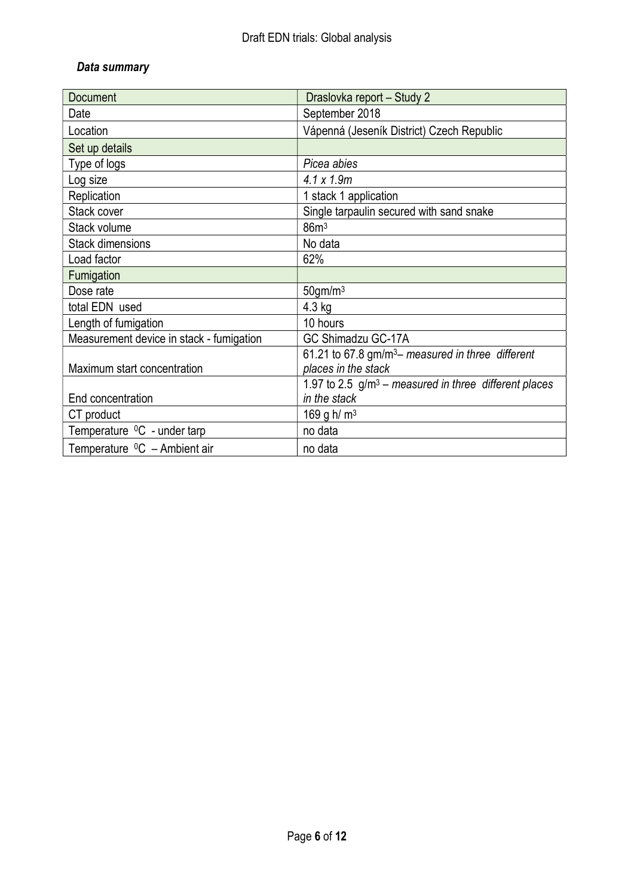## Data summary

| <b>Document</b>                          | Draslovka report - Study 2                                    |
|------------------------------------------|---------------------------------------------------------------|
| Date                                     | September 2018                                                |
| Location                                 | Vápenná (Jeseník District) Czech Republic                     |
| Set up details                           |                                                               |
| Type of logs                             | Picea abies                                                   |
| Log size                                 | $4.1 \times 1.9m$                                             |
| Replication                              | 1 stack 1 application                                         |
| Stack cover                              | Single tarpaulin secured with sand snake                      |
| Stack volume                             | 86m <sup>3</sup>                                              |
| <b>Stack dimensions</b>                  | No data                                                       |
| Load factor                              | 62%                                                           |
| Fumigation                               |                                                               |
| Dose rate                                | $50$ gm/m $3$                                                 |
| total EDN used                           | $4.3$ kg                                                      |
| Length of fumigation                     | 10 hours                                                      |
| Measurement device in stack - fumigation | GC Shimadzu GC-17A                                            |
|                                          | 61.21 to 67.8 gm/m <sup>3</sup> - measured in three different |
| Maximum start concentration              | places in the stack                                           |
|                                          | 1.97 to 2.5 $g/m^3$ – measured in three different places      |
| End concentration                        | in the stack                                                  |
| CT product                               | 169 g h/ $m3$                                                 |
| Temperature <sup>0</sup> C - under tarp  | no data                                                       |
| Temperature ${}^{0}C$ – Ambient air      | no data                                                       |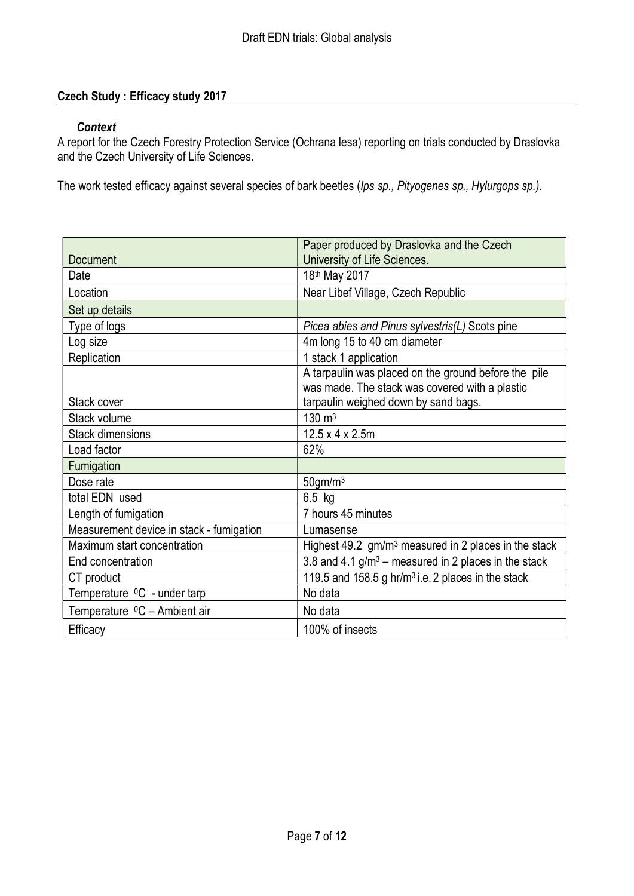## Czech Study : Efficacy study 2017

#### **Context**

A report for the Czech Forestry Protection Service (Ochrana lesa) reporting on trials conducted by Draslovka and the Czech University of Life Sciences.

The work tested efficacy against several species of bark beetles (Ips sp., Pityogenes sp., Hylurgops sp.).

|                                          | Paper produced by Draslovka and the Czech                             |
|------------------------------------------|-----------------------------------------------------------------------|
| Document                                 | University of Life Sciences.                                          |
| Date                                     | 18th May 2017                                                         |
| Location                                 | Near Libef Village, Czech Republic                                    |
| Set up details                           |                                                                       |
| Type of logs                             | Picea abies and Pinus sylvestris(L) Scots pine                        |
| Log size                                 | 4m long 15 to 40 cm diameter                                          |
| Replication                              | 1 stack 1 application                                                 |
|                                          | A tarpaulin was placed on the ground before the pile                  |
|                                          | was made. The stack was covered with a plastic                        |
| Stack cover                              | tarpaulin weighed down by sand bags.                                  |
| Stack volume                             | $130 \text{ m}^3$                                                     |
| <b>Stack dimensions</b>                  | $12.5 \times 4 \times 2.5$ m                                          |
| Load factor                              | 62%                                                                   |
| Fumigation                               |                                                                       |
| Dose rate                                | $50$ gm/m $3$                                                         |
| total EDN used                           | $6.5$ kg                                                              |
| Length of fumigation                     | 7 hours 45 minutes                                                    |
| Measurement device in stack - fumigation | Lumasense                                                             |
| Maximum start concentration              | Highest $49.2 \,$ gm/m <sup>3</sup> measured in 2 places in the stack |
| End concentration                        | 3.8 and 4.1 $g/m3$ – measured in 2 places in the stack                |
| CT product                               | 119.5 and 158.5 g hr/m <sup>3</sup> i.e. 2 places in the stack        |
| Temperature <sup>0</sup> C - under tarp  | No data                                                               |
| Temperature <sup>0</sup> C - Ambient air | No data                                                               |
| Efficacy                                 | 100% of insects                                                       |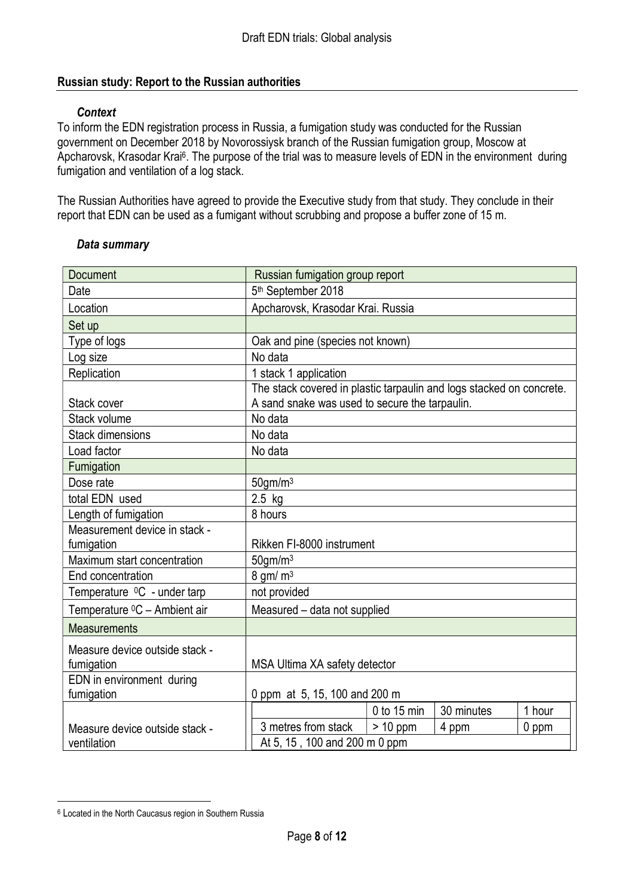## Russian study: Report to the Russian authorities

#### **Context**

To inform the EDN registration process in Russia, a fumigation study was conducted for the Russian government on December 2018 by Novorossiysk branch of the Russian fumigation group, Moscow at Apcharovsk, Krasodar Krai<sup>6</sup>. The purpose of the trial was to measure levels of EDN in the environment during fumigation and ventilation of a log stack.

The Russian Authorities have agreed to provide the Executive study from that study. They conclude in their report that EDN can be used as a fumigant without scrubbing and propose a buffer zone of 15 m.

| Document                                     | Russian fumigation group report                                                                                        |                       |            |         |
|----------------------------------------------|------------------------------------------------------------------------------------------------------------------------|-----------------------|------------|---------|
| Date                                         | 5th September 2018                                                                                                     |                       |            |         |
| Location                                     | Apcharovsk, Krasodar Krai. Russia                                                                                      |                       |            |         |
| Set up                                       |                                                                                                                        |                       |            |         |
| Type of logs                                 | Oak and pine (species not known)                                                                                       |                       |            |         |
| Log size                                     | No data                                                                                                                |                       |            |         |
| Replication                                  | 1 stack 1 application                                                                                                  |                       |            |         |
| Stack cover                                  | The stack covered in plastic tarpaulin and logs stacked on concrete.<br>A sand snake was used to secure the tarpaulin. |                       |            |         |
| Stack volume                                 | No data                                                                                                                |                       |            |         |
| <b>Stack dimensions</b>                      | No data                                                                                                                |                       |            |         |
| Load factor                                  | No data                                                                                                                |                       |            |         |
| Fumigation                                   |                                                                                                                        |                       |            |         |
| Dose rate                                    | $50$ gm/m $3$                                                                                                          |                       |            |         |
| total EDN used                               | $2.5$ kg                                                                                                               |                       |            |         |
| Length of fumigation                         | 8 hours                                                                                                                |                       |            |         |
| Measurement device in stack -                |                                                                                                                        |                       |            |         |
| fumigation                                   | Rikken FI-8000 instrument                                                                                              |                       |            |         |
| Maximum start concentration                  | $50$ gm/m $3$                                                                                                          |                       |            |         |
| End concentration                            |                                                                                                                        | $8$ gm/m <sup>3</sup> |            |         |
| Temperature <sup>0</sup> C - under tarp      | not provided                                                                                                           |                       |            |         |
| Temperature <sup>0</sup> C - Ambient air     | Measured - data not supplied                                                                                           |                       |            |         |
| <b>Measurements</b>                          |                                                                                                                        |                       |            |         |
| Measure device outside stack -<br>fumigation | MSA Ultima XA safety detector                                                                                          |                       |            |         |
| EDN in environment during                    |                                                                                                                        |                       |            |         |
| fumigation                                   | 0 ppm at 5, 15, 100 and 200 m                                                                                          |                       |            |         |
|                                              |                                                                                                                        | $0$ to 15 min         | 30 minutes | 1 hour  |
| Measure device outside stack -               | 3 metres from stack                                                                                                    | $> 10$ ppm            | 4 ppm      | $0$ ppm |
| ventilation                                  | At 5, 15, 100 and 200 m 0 ppm                                                                                          |                       |            |         |

#### Data summary

-

<sup>&</sup>lt;sup>6</sup> Located in the North Caucasus region in Southern Russia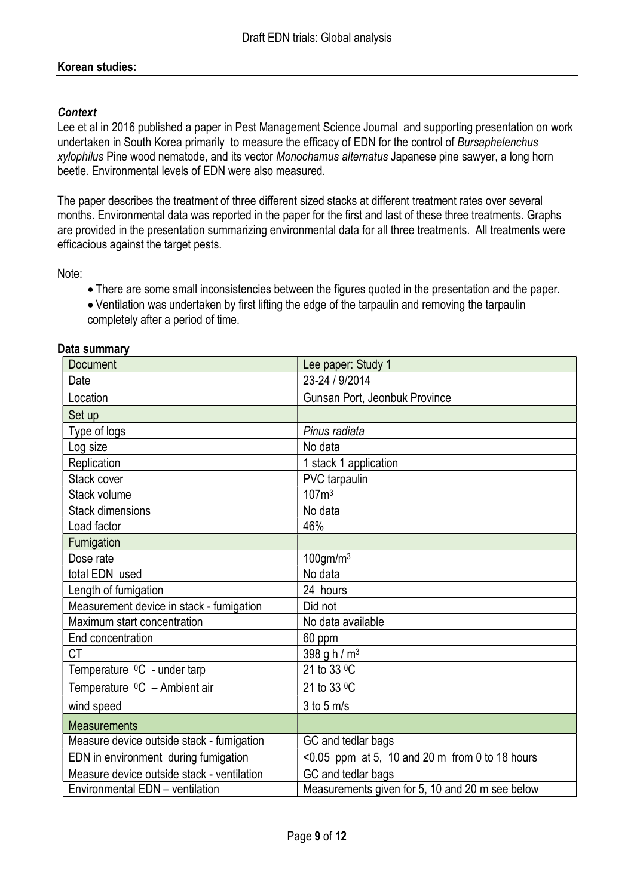## Korean studies:

### **Context**

Lee et al in 2016 published a paper in Pest Management Science Journal and supporting presentation on work undertaken in South Korea primarily to measure the efficacy of EDN for the control of Bursaphelenchus xylophilus Pine wood nematode, and its vector Monochamus alternatus Japanese pine sawyer, a long horn beetle. Environmental levels of EDN were also measured.

The paper describes the treatment of three different sized stacks at different treatment rates over several months. Environmental data was reported in the paper for the first and last of these three treatments. Graphs are provided in the presentation summarizing environmental data for all three treatments. All treatments were efficacious against the target pests.

Note:

- There are some small inconsistencies between the figures quoted in the presentation and the paper.
- Ventilation was undertaken by first lifting the edge of the tarpaulin and removing the tarpaulin completely after a period of time.

| Document                                   | Lee paper: Study 1                                |
|--------------------------------------------|---------------------------------------------------|
| Date                                       | 23-24 / 9/2014                                    |
| Location                                   | Gunsan Port, Jeonbuk Province                     |
| Set up                                     |                                                   |
| Type of logs                               | Pinus radiata                                     |
| Log size                                   | No data                                           |
| Replication                                | 1 stack 1 application                             |
| Stack cover                                | PVC tarpaulin                                     |
| Stack volume                               | 107 <sup>m3</sup>                                 |
| <b>Stack dimensions</b>                    | No data                                           |
| Load factor                                | 46%                                               |
| Fumigation                                 |                                                   |
| Dose rate                                  | $100$ gm/m $3$                                    |
| total EDN used                             | No data                                           |
| Length of fumigation                       | 24 hours                                          |
| Measurement device in stack - fumigation   | Did not                                           |
| Maximum start concentration                | No data available                                 |
| End concentration                          | 60 ppm                                            |
| <b>CT</b>                                  | 398 g h / m <sup>3</sup>                          |
| Temperature <sup>0</sup> C - under tarp    | 21 to 33 °C                                       |
| Temperature <sup>0</sup> C - Ambient air   | 21 to 33 °C                                       |
| wind speed                                 | $3$ to $5$ m/s                                    |
| <b>Measurements</b>                        |                                                   |
| Measure device outside stack - fumigation  | GC and tedlar bags                                |
| EDN in environment during fumigation       | < $0.05$ ppm at 5, 10 and 20 m from 0 to 18 hours |
| Measure device outside stack - ventilation | GC and tedlar bags                                |
| Environmental EDN - ventilation            | Measurements given for 5, 10 and 20 m see below   |

#### Data summary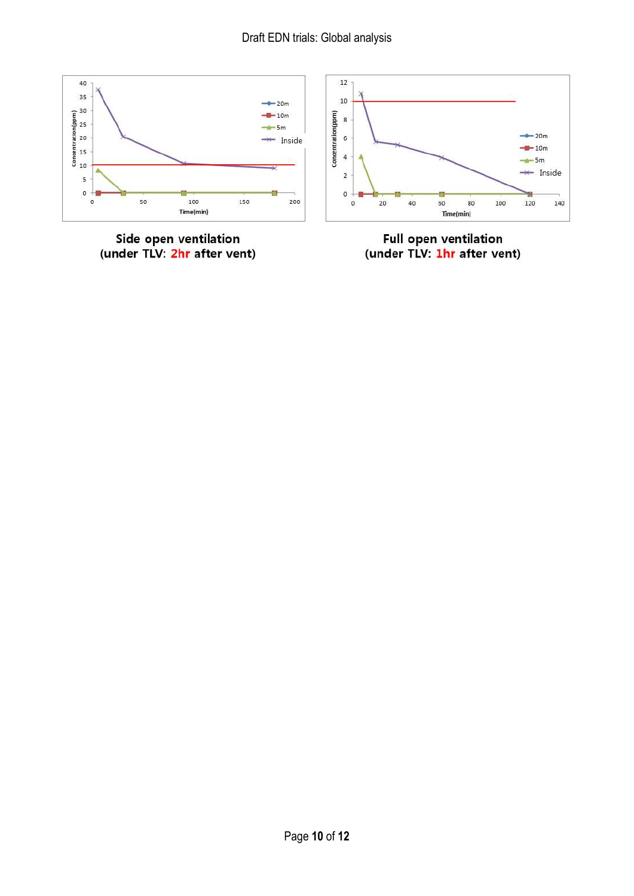

Side open ventilation<br>(under TLV: <mark>2hr</mark> after vent)



Full open ventilation<br>(under TLV: <mark>1hr</mark> after vent)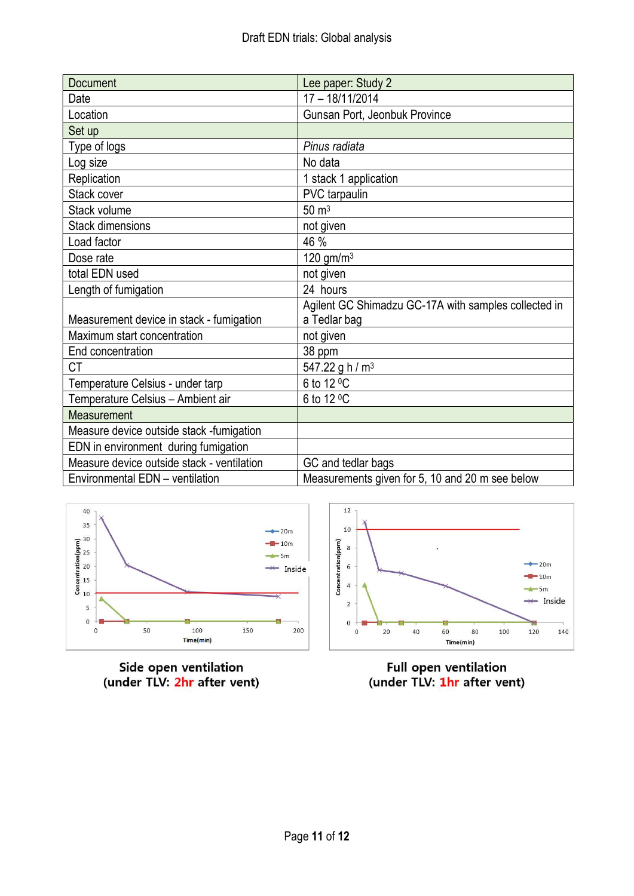| Document                                   | Lee paper: Study 2                                   |
|--------------------------------------------|------------------------------------------------------|
| Date                                       | 17 - 18/11/2014                                      |
| Location                                   | Gunsan Port, Jeonbuk Province                        |
| Set up                                     |                                                      |
| Type of logs                               | Pinus radiata                                        |
| Log size                                   | No data                                              |
| Replication                                | 1 stack 1 application                                |
| Stack cover                                | PVC tarpaulin                                        |
| Stack volume                               | $50 \text{ m}^3$                                     |
| <b>Stack dimensions</b>                    | not given                                            |
| Load factor                                | 46 %                                                 |
| Dose rate                                  | 120 gm/m <sup>3</sup>                                |
| total EDN used                             | not given                                            |
| Length of fumigation                       | 24 hours                                             |
|                                            | Agilent GC Shimadzu GC-17A with samples collected in |
| Measurement device in stack - fumigation   | a Tedlar bag                                         |
| Maximum start concentration                | not given                                            |
| End concentration                          | 38 ppm                                               |
| СT                                         | 547.22 g h / $m3$                                    |
| Temperature Celsius - under tarp           | 6 to 12 °C                                           |
| Temperature Celsius - Ambient air          | 6 to 12 °C                                           |
| Measurement                                |                                                      |
| Measure device outside stack -fumigation   |                                                      |
| EDN in environment during fumigation       |                                                      |
| Measure device outside stack - ventilation | GC and tedlar bags                                   |
| Environmental EDN - ventilation            | Measurements given for 5, 10 and 20 m see below      |



Side open ventilation<br>(under TLV: 2hr after vent)



Full open ventilation<br>(under TLV: 1hr after vent)